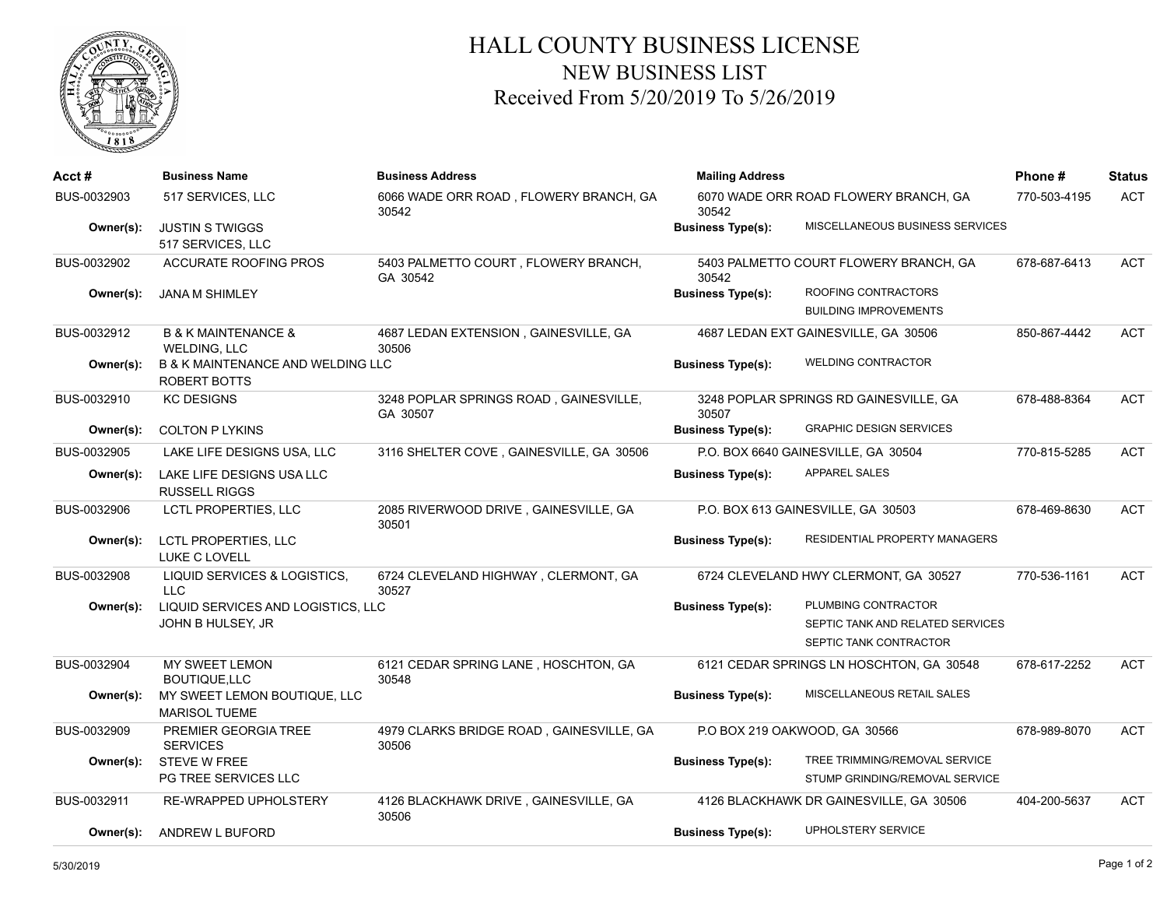

## HALL COUNTY BUSINESS LICENSE NEW BUSINESS LIST Received From 5/20/2019 To 5/26/2019

| $Acct \#$   | <b>Business Name</b>                                         | <b>Business Address</b>                            | <b>Mailing Address</b>                         |                                         | Phone#       | <b>Status</b> |
|-------------|--------------------------------------------------------------|----------------------------------------------------|------------------------------------------------|-----------------------------------------|--------------|---------------|
| BUS-0032903 | 517 SERVICES, LLC                                            | 6066 WADE ORR ROAD, FLOWERY BRANCH, GA<br>30542    | 6070 WADE ORR ROAD FLOWERY BRANCH, GA<br>30542 |                                         | 770-503-4195 | <b>ACT</b>    |
| Owner(s):   | <b>JUSTIN S TWIGGS</b><br>517 SERVICES, LLC                  |                                                    | <b>Business Type(s):</b>                       | MISCELLANEOUS BUSINESS SERVICES         |              |               |
| BUS-0032902 | <b>ACCURATE ROOFING PROS</b>                                 | 5403 PALMETTO COURT, FLOWERY BRANCH,<br>GA 30542   | 30542                                          | 5403 PALMETTO COURT FLOWERY BRANCH, GA  | 678-687-6413 | ACT           |
| Owner(s):   | <b>JANA M SHIMLEY</b>                                        |                                                    | <b>Business Type(s):</b>                       | ROOFING CONTRACTORS                     |              |               |
|             |                                                              |                                                    |                                                | <b>BUILDING IMPROVEMENTS</b>            |              |               |
| BUS-0032912 | <b>B &amp; K MAINTENANCE &amp;</b><br>WELDING, LLC           | 4687 LEDAN EXTENSION, GAINESVILLE, GA<br>30506     | 4687 LEDAN EXT GAINESVILLE, GA 30506           |                                         | 850-867-4442 | <b>ACT</b>    |
| Owner(s):   | <b>B &amp; K MAINTENANCE AND WELDING LLC</b><br>ROBERT BOTTS |                                                    | <b>Business Type(s):</b>                       | <b>WELDING CONTRACTOR</b>               |              |               |
| BUS-0032910 | <b>KC DESIGNS</b>                                            | 3248 POPLAR SPRINGS ROAD, GAINESVILLE,<br>GA 30507 | 30507                                          | 3248 POPLAR SPRINGS RD GAINESVILLE, GA  | 678-488-8364 | ACT           |
| Owner(s):   | <b>COLTON P LYKINS</b>                                       |                                                    | <b>Business Type(s):</b>                       | <b>GRAPHIC DESIGN SERVICES</b>          |              |               |
| BUS-0032905 | LAKE LIFE DESIGNS USA, LLC                                   | 3116 SHELTER COVE, GAINESVILLE, GA 30506           | P.O. BOX 6640 GAINESVILLE, GA 30504            |                                         | 770-815-5285 | <b>ACT</b>    |
| Owner(s):   | LAKE LIFE DESIGNS USA LLC<br><b>RUSSELL RIGGS</b>            |                                                    | <b>Business Type(s):</b>                       | <b>APPAREL SALES</b>                    |              |               |
| BUS-0032906 | LCTL PROPERTIES, LLC                                         | 2085 RIVERWOOD DRIVE, GAINESVILLE, GA<br>30501     | P.O. BOX 613 GAINESVILLE, GA 30503             |                                         | 678-469-8630 | ACT           |
| Owner(s):   | LCTL PROPERTIES, LLC<br>LUKE C LOVELL                        |                                                    | <b>Business Type(s):</b>                       | RESIDENTIAL PROPERTY MANAGERS           |              |               |
| BUS-0032908 | LIQUID SERVICES & LOGISTICS,<br><b>LLC</b>                   | 6724 CLEVELAND HIGHWAY, CLERMONT, GA<br>30527      | 6724 CLEVELAND HWY CLERMONT, GA 30527          |                                         | 770-536-1161 | ACT           |
| Owner(s):   | LIQUID SERVICES AND LOGISTICS, LLC                           |                                                    | <b>Business Type(s):</b>                       | PLUMBING CONTRACTOR                     |              |               |
|             | JOHN B HULSEY, JR                                            |                                                    |                                                | SEPTIC TANK AND RELATED SERVICES        |              |               |
|             |                                                              |                                                    |                                                | SEPTIC TANK CONTRACTOR                  |              |               |
| BUS-0032904 | MY SWEET LEMON<br><b>BOUTIQUE.LLC</b>                        | 6121 CEDAR SPRING LANE, HOSCHTON, GA<br>30548      | 6121 CEDAR SPRINGS LN HOSCHTON, GA 30548       |                                         | 678-617-2252 | <b>ACT</b>    |
| Owner(s):   | MY SWEET LEMON BOUTIQUE, LLC<br><b>MARISOL TUEME</b>         |                                                    | <b>Business Type(s):</b>                       | MISCELLANEOUS RETAIL SALES              |              |               |
| BUS-0032909 | PREMIER GEORGIA TREE<br><b>SERVICES</b>                      | 4979 CLARKS BRIDGE ROAD, GAINESVILLE, GA<br>30506  |                                                | P.O BOX 219 OAKWOOD, GA 30566           | 678-989-8070 | <b>ACT</b>    |
| Owner(s):   | <b>STEVE W FREE</b>                                          |                                                    | <b>Business Type(s):</b>                       | TREE TRIMMING/REMOVAL SERVICE           |              |               |
|             | PG TREE SERVICES LLC                                         |                                                    |                                                | STUMP GRINDING/REMOVAL SERVICE          |              |               |
| BUS-0032911 | RE-WRAPPED UPHOLSTERY                                        | 4126 BLACKHAWK DRIVE, GAINESVILLE, GA<br>30506     |                                                | 4126 BLACKHAWK DR GAINESVILLE, GA 30506 | 404-200-5637 | <b>ACT</b>    |
| Owner(s):   | ANDREW L BUFORD                                              |                                                    | <b>Business Type(s):</b>                       | UPHOLSTERY SERVICE                      |              |               |